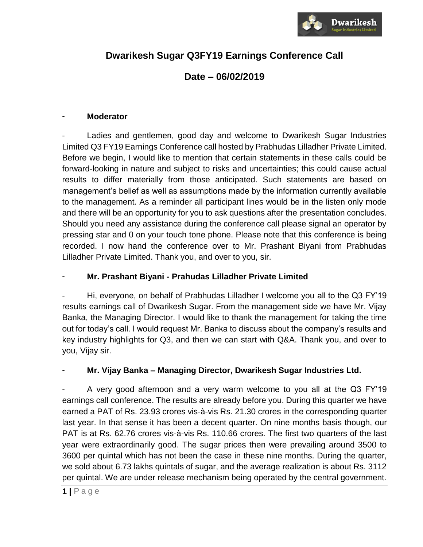

# **Dwarikesh Sugar Q3FY19 Earnings Conference Call**

# **Date – 06/02/2019**

## - **Moderator**

Ladies and gentlemen, good day and welcome to Dwarikesh Sugar Industries Limited Q3 FY19 Earnings Conference call hosted by Prabhudas Lilladher Private Limited. Before we begin, I would like to mention that certain statements in these calls could be forward-looking in nature and subject to risks and uncertainties; this could cause actual results to differ materially from those anticipated. Such statements are based on management's belief as well as assumptions made by the information currently available to the management. As a reminder all participant lines would be in the listen only mode and there will be an opportunity for you to ask questions after the presentation concludes. Should you need any assistance during the conference call please signal an operator by pressing star and 0 on your touch tone phone. Please note that this conference is being recorded. I now hand the conference over to Mr. Prashant Biyani from Prabhudas Lilladher Private Limited. Thank you, and over to you, sir.

## - **Mr. Prashant Biyani - Prahudas Lilladher Private Limited**

Hi, everyone, on behalf of Prabhudas Lilladher I welcome you all to the Q3 FY'19 results earnings call of Dwarikesh Sugar. From the management side we have Mr. Vijay Banka, the Managing Director. I would like to thank the management for taking the time out for today's call. I would request Mr. Banka to discuss about the company's results and key industry highlights for Q3, and then we can start with Q&A. Thank you, and over to you, Vijay sir.

## - **Mr. Vijay Banka – Managing Director, Dwarikesh Sugar Industries Ltd.**

- A very good afternoon and a very warm welcome to you all at the Q3 FY'19 earnings call conference. The results are already before you. During this quarter we have earned a PAT of Rs. 23.93 crores vis-à-vis Rs. 21.30 crores in the corresponding quarter last year. In that sense it has been a decent quarter. On nine months basis though, our PAT is at Rs. 62.76 crores vis-à-vis Rs. 110.66 crores. The first two quarters of the last year were extraordinarily good. The sugar prices then were prevailing around 3500 to 3600 per quintal which has not been the case in these nine months. During the quarter, we sold about 6.73 lakhs quintals of sugar, and the average realization is about Rs. 3112 per quintal. We are under release mechanism being operated by the central government.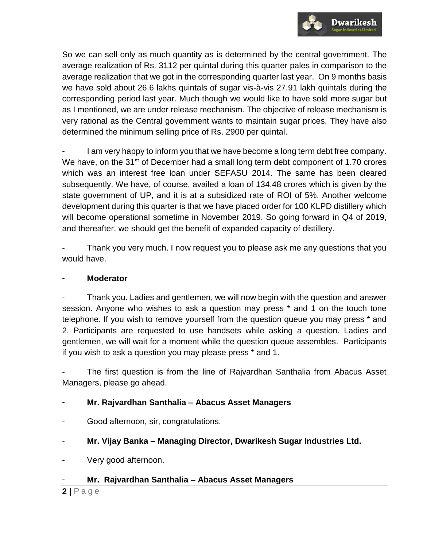

So we can sell only as much quantity as is determined by the central government. The average realization of Rs. 3112 per quintal during this quarter pales in comparison to the average realization that we got in the corresponding quarter last year. On 9 months basis we have sold about 26.6 lakhs quintals of sugar vis-à-vis 27.91 lakh quintals during the corresponding period last year. Much though we would like to have sold more sugar but as I mentioned, we are under release mechanism. The objective of release mechanism is very rational as the Central government wants to maintain sugar prices. They have also determined the minimum selling price of Rs. 2900 per quintal.

I am very happy to inform you that we have become a long term debt free company. We have, on the  $31<sup>st</sup>$  of December had a small long term debt component of 1.70 crores which was an interest free loan under SEFASU 2014. The same has been cleared subsequently. We have, of course, availed a loan of 134.48 crores which is given by the state government of UP, and it is at a subsidized rate of ROI of 5%. Another welcome development during this quarter is that we have placed order for 100 KLPD distillery which will become operational sometime in November 2019. So going forward in Q4 of 2019, and thereafter, we should get the benefit of expanded capacity of distillery.

Thank you very much. I now request you to please ask me any questions that you would have.

## - **Moderator**

- Thank you. Ladies and gentlemen, we will now begin with the question and answer session. Anyone who wishes to ask a question may press \* and 1 on the touch tone telephone. If you wish to remove yourself from the question queue you may press \* and 2. Participants are requested to use handsets while asking a question. Ladies and gentlemen, we will wait for a moment while the question queue assembles. Participants if you wish to ask a question you may please press \* and 1.

The first question is from the line of Rajvardhan Santhalia from Abacus Asset Managers, please go ahead.

## - **Mr. Rajvardhan Santhalia – Abacus Asset Managers**

- Good afternoon, sir, congratulations.
- **Mr. Vijay Banka – Managing Director, Dwarikesh Sugar Industries Ltd.**
- Very good afternoon.

## - **Mr. Rajvardhan Santhalia – Abacus Asset Managers**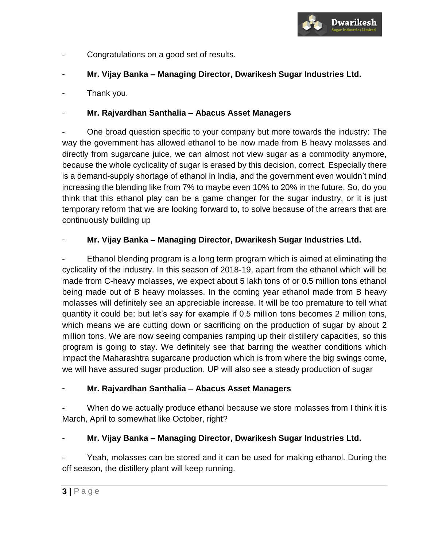

- Congratulations on a good set of results.
- **Mr. Vijay Banka – Managing Director, Dwarikesh Sugar Industries Ltd.**
- Thank you.

## - **Mr. Rajvardhan Santhalia – Abacus Asset Managers**

- One broad question specific to your company but more towards the industry: The way the government has allowed ethanol to be now made from B heavy molasses and directly from sugarcane juice, we can almost not view sugar as a commodity anymore, because the whole cyclicality of sugar is erased by this decision, correct. Especially there is a demand-supply shortage of ethanol in India, and the government even wouldn't mind increasing the blending like from 7% to maybe even 10% to 20% in the future. So, do you think that this ethanol play can be a game changer for the sugar industry, or it is just temporary reform that we are looking forward to, to solve because of the arrears that are continuously building up

## - **Mr. Vijay Banka – Managing Director, Dwarikesh Sugar Industries Ltd.**

Ethanol blending program is a long term program which is aimed at eliminating the cyclicality of the industry. In this season of 2018-19, apart from the ethanol which will be made from C-heavy molasses, we expect about 5 lakh tons of or 0.5 million tons ethanol being made out of B heavy molasses. In the coming year ethanol made from B heavy molasses will definitely see an appreciable increase. It will be too premature to tell what quantity it could be; but let's say for example if 0.5 million tons becomes 2 million tons, which means we are cutting down or sacrificing on the production of sugar by about 2 million tons. We are now seeing companies ramping up their distillery capacities, so this program is going to stay. We definitely see that barring the weather conditions which impact the Maharashtra sugarcane production which is from where the big swings come, we will have assured sugar production. UP will also see a steady production of sugar

## - **Mr. Rajvardhan Santhalia – Abacus Asset Managers**

When do we actually produce ethanol because we store molasses from I think it is March, April to somewhat like October, right?

## - **Mr. Vijay Banka – Managing Director, Dwarikesh Sugar Industries Ltd.**

Yeah, molasses can be stored and it can be used for making ethanol. During the off season, the distillery plant will keep running.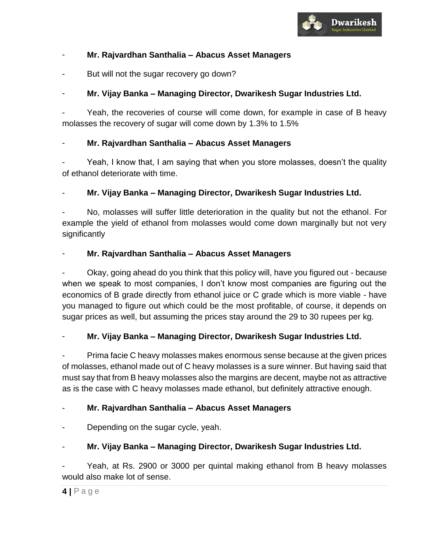

## - **Mr. Rajvardhan Santhalia – Abacus Asset Managers**

But will not the sugar recovery go down?

## - **Mr. Vijay Banka – Managing Director, Dwarikesh Sugar Industries Ltd.**

Yeah, the recoveries of course will come down, for example in case of B heavy molasses the recovery of sugar will come down by 1.3% to 1.5%

## - **Mr. Rajvardhan Santhalia – Abacus Asset Managers**

- Yeah, I know that, I am saying that when you store molasses, doesn't the quality of ethanol deteriorate with time.

## - **Mr. Vijay Banka – Managing Director, Dwarikesh Sugar Industries Ltd.**

No, molasses will suffer little deterioration in the quality but not the ethanol. For example the yield of ethanol from molasses would come down marginally but not very significantly

## - **Mr. Rajvardhan Santhalia – Abacus Asset Managers**

Okay, going ahead do you think that this policy will, have you figured out - because when we speak to most companies, I don't know most companies are figuring out the economics of B grade directly from ethanol juice or C grade which is more viable - have you managed to figure out which could be the most profitable, of course, it depends on sugar prices as well, but assuming the prices stay around the 29 to 30 rupees per kg.

## - **Mr. Vijay Banka – Managing Director, Dwarikesh Sugar Industries Ltd.**

- Prima facie C heavy molasses makes enormous sense because at the given prices of molasses, ethanol made out of C heavy molasses is a sure winner. But having said that must say that from B heavy molasses also the margins are decent, maybe not as attractive as is the case with C heavy molasses made ethanol, but definitely attractive enough.

## - **Mr. Rajvardhan Santhalia – Abacus Asset Managers**

Depending on the sugar cycle, yeah.

## - **Mr. Vijay Banka – Managing Director, Dwarikesh Sugar Industries Ltd.**

Yeah, at Rs. 2900 or 3000 per quintal making ethanol from B heavy molasses would also make lot of sense.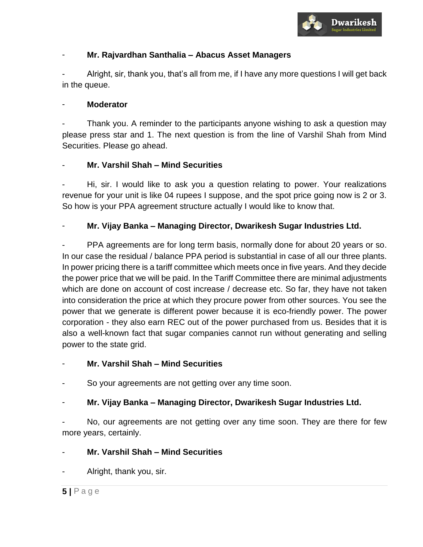

## - **Mr. Rajvardhan Santhalia – Abacus Asset Managers**

- Alright, sir, thank you, that's all from me, if I have any more questions I will get back in the queue.

#### - **Moderator**

Thank you. A reminder to the participants anyone wishing to ask a question may please press star and 1. The next question is from the line of Varshil Shah from Mind Securities. Please go ahead.

## - **Mr. Varshil Shah – Mind Securities**

Hi, sir. I would like to ask you a question relating to power. Your realizations revenue for your unit is like 04 rupees I suppose, and the spot price going now is 2 or 3. So how is your PPA agreement structure actually I would like to know that.

## - **Mr. Vijay Banka – Managing Director, Dwarikesh Sugar Industries Ltd.**

PPA agreements are for long term basis, normally done for about 20 years or so. In our case the residual / balance PPA period is substantial in case of all our three plants. In power pricing there is a tariff committee which meets once in five years. And they decide the power price that we will be paid. In the Tariff Committee there are minimal adjustments which are done on account of cost increase / decrease etc. So far, they have not taken into consideration the price at which they procure power from other sources. You see the power that we generate is different power because it is eco-friendly power. The power corporation - they also earn REC out of the power purchased from us. Besides that it is also a well-known fact that sugar companies cannot run without generating and selling power to the state grid.

## - **Mr. Varshil Shah – Mind Securities**

So your agreements are not getting over any time soon.

## - **Mr. Vijay Banka – Managing Director, Dwarikesh Sugar Industries Ltd.**

No, our agreements are not getting over any time soon. They are there for few more years, certainly.

## - **Mr. Varshil Shah – Mind Securities**

Alright, thank you, sir.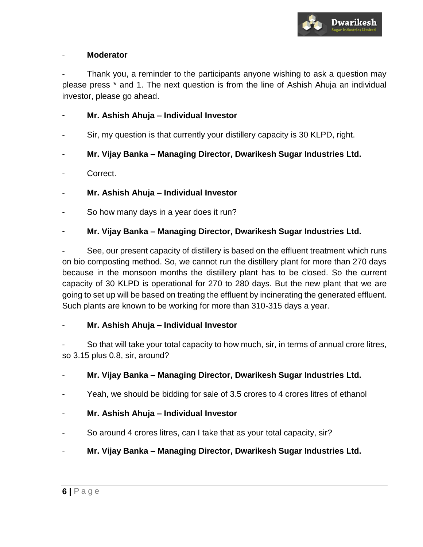

#### - **Moderator**

Thank you, a reminder to the participants anyone wishing to ask a question may please press \* and 1. The next question is from the line of Ashish Ahuja an individual investor, please go ahead.

- **Mr. Ashish Ahuja – Individual Investor**
- Sir, my question is that currently your distillery capacity is 30 KLPD, right.
- **Mr. Vijay Banka – Managing Director, Dwarikesh Sugar Industries Ltd.**
- Correct.
- **Mr. Ashish Ahuja – Individual Investor**
- So how many days in a year does it run?

## - **Mr. Vijay Banka – Managing Director, Dwarikesh Sugar Industries Ltd.**

See, our present capacity of distillery is based on the effluent treatment which runs on bio composting method. So, we cannot run the distillery plant for more than 270 days because in the monsoon months the distillery plant has to be closed. So the current capacity of 30 KLPD is operational for 270 to 280 days. But the new plant that we are going to set up will be based on treating the effluent by incinerating the generated effluent. Such plants are known to be working for more than 310-315 days a year.

## - **Mr. Ashish Ahuja – Individual Investor**

So that will take your total capacity to how much, sir, in terms of annual crore litres, so 3.15 plus 0.8, sir, around?

## - **Mr. Vijay Banka – Managing Director, Dwarikesh Sugar Industries Ltd.**

- Yeah, we should be bidding for sale of 3.5 crores to 4 crores litres of ethanol
- **Mr. Ashish Ahuja – Individual Investor**
- So around 4 crores litres, can I take that as your total capacity, sir?
- **Mr. Vijay Banka – Managing Director, Dwarikesh Sugar Industries Ltd.**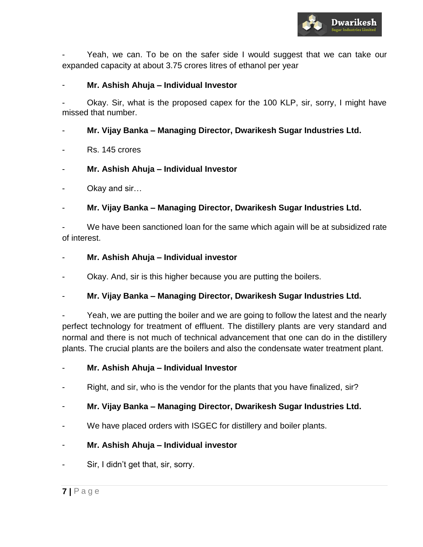

Yeah, we can. To be on the safer side I would suggest that we can take our expanded capacity at about 3.75 crores litres of ethanol per year

#### - **Mr. Ashish Ahuja – Individual Investor**

Okay. Sir, what is the proposed capex for the 100 KLP, sir, sorry, I might have missed that number.

#### - **Mr. Vijay Banka – Managing Director, Dwarikesh Sugar Industries Ltd.**

- Rs. 145 crores
- **Mr. Ashish Ahuja – Individual Investor**
- Okay and sir...
- **Mr. Vijay Banka – Managing Director, Dwarikesh Sugar Industries Ltd.**

We have been sanctioned loan for the same which again will be at subsidized rate of interest.

#### - **Mr. Ashish Ahuja – Individual investor**

Okay. And, sir is this higher because you are putting the boilers.

#### - **Mr. Vijay Banka – Managing Director, Dwarikesh Sugar Industries Ltd.**

Yeah, we are putting the boiler and we are going to follow the latest and the nearly perfect technology for treatment of effluent. The distillery plants are very standard and normal and there is not much of technical advancement that one can do in the distillery plants. The crucial plants are the boilers and also the condensate water treatment plant.

- **Mr. Ashish Ahuja – Individual Investor**
- Right, and sir, who is the vendor for the plants that you have finalized, sir?

#### - **Mr. Vijay Banka – Managing Director, Dwarikesh Sugar Industries Ltd.**

We have placed orders with ISGEC for distillery and boiler plants.

#### - **Mr. Ashish Ahuja – Individual investor**

Sir, I didn't get that, sir, sorry.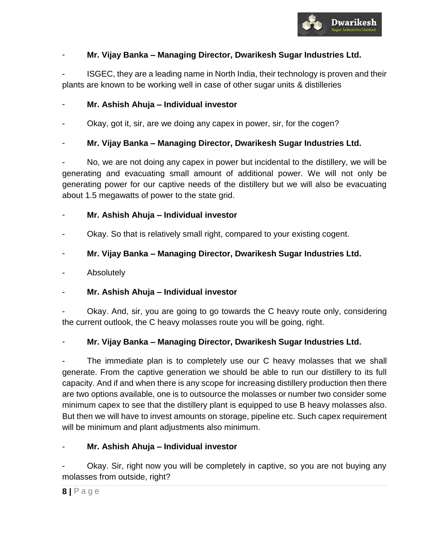

## - **Mr. Vijay Banka – Managing Director, Dwarikesh Sugar Industries Ltd.**

- ISGEC, they are a leading name in North India, their technology is proven and their plants are known to be working well in case of other sugar units & distilleries

## - **Mr. Ashish Ahuja – Individual investor**

- Okay, got it, sir, are we doing any capex in power, sir, for the cogen?
- **Mr. Vijay Banka – Managing Director, Dwarikesh Sugar Industries Ltd.**

No, we are not doing any capex in power but incidental to the distillery, we will be generating and evacuating small amount of additional power. We will not only be generating power for our captive needs of the distillery but we will also be evacuating about 1.5 megawatts of power to the state grid.

## - **Mr. Ashish Ahuja – Individual investor**

Okay. So that is relatively small right, compared to your existing cogent.

## - **Mr. Vijay Banka – Managing Director, Dwarikesh Sugar Industries Ltd.**

**Absolutely** 

## - **Mr. Ashish Ahuja – Individual investor**

Okay. And, sir, you are going to go towards the C heavy route only, considering the current outlook, the C heavy molasses route you will be going, right.

## - **Mr. Vijay Banka – Managing Director, Dwarikesh Sugar Industries Ltd.**

The immediate plan is to completely use our C heavy molasses that we shall generate. From the captive generation we should be able to run our distillery to its full capacity. And if and when there is any scope for increasing distillery production then there are two options available, one is to outsource the molasses or number two consider some minimum capex to see that the distillery plant is equipped to use B heavy molasses also. But then we will have to invest amounts on storage, pipeline etc. Such capex requirement will be minimum and plant adjustments also minimum.

## - **Mr. Ashish Ahuja – Individual investor**

Okay. Sir, right now you will be completely in captive, so you are not buying any molasses from outside, right?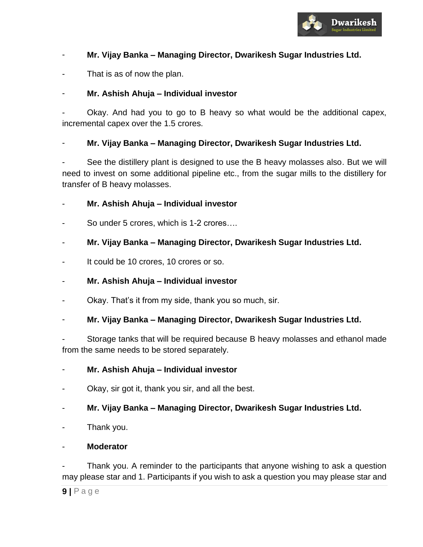

## - **Mr. Vijay Banka – Managing Director, Dwarikesh Sugar Industries Ltd.**

That is as of now the plan.

#### - **Mr. Ashish Ahuja – Individual investor**

Okay. And had you to go to B heavy so what would be the additional capex, incremental capex over the 1.5 crores.

#### - **Mr. Vijay Banka – Managing Director, Dwarikesh Sugar Industries Ltd.**

See the distillery plant is designed to use the B heavy molasses also. But we will need to invest on some additional pipeline etc., from the sugar mills to the distillery for transfer of B heavy molasses.

#### - **Mr. Ashish Ahuja – Individual investor**

So under 5 crores, which is 1-2 crores....

#### - **Mr. Vijay Banka – Managing Director, Dwarikesh Sugar Industries Ltd.**

It could be 10 crores, 10 crores or so.

## - **Mr. Ashish Ahuja – Individual investor**

Okay. That's it from my side, thank you so much, sir.

#### - **Mr. Vijay Banka – Managing Director, Dwarikesh Sugar Industries Ltd.**

- Storage tanks that will be required because B heavy molasses and ethanol made from the same needs to be stored separately.

#### - **Mr. Ashish Ahuja – Individual investor**

Okay, sir got it, thank you sir, and all the best.

## - **Mr. Vijay Banka – Managing Director, Dwarikesh Sugar Industries Ltd.**

- Thank you.

## - **Moderator**

Thank you. A reminder to the participants that anyone wishing to ask a question may please star and 1. Participants if you wish to ask a question you may please star and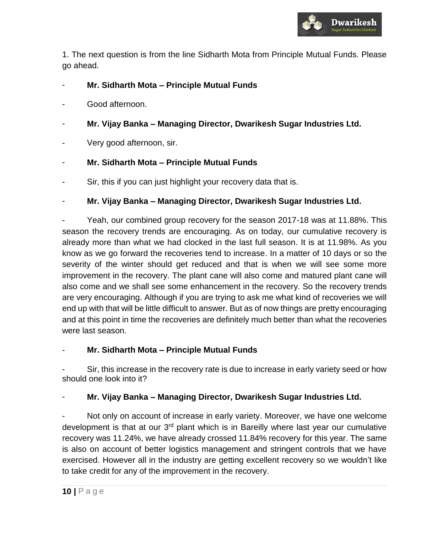

1. The next question is from the line Sidharth Mota from Principle Mutual Funds. Please go ahead.

- **Mr. Sidharth Mota – Principle Mutual Funds**
- Good afternoon.
- **Mr. Vijay Banka – Managing Director, Dwarikesh Sugar Industries Ltd.**
- Very good afternoon, sir.

## - **Mr. Sidharth Mota – Principle Mutual Funds**

Sir, this if you can just highlight your recovery data that is.

## - **Mr. Vijay Banka – Managing Director, Dwarikesh Sugar Industries Ltd.**

Yeah, our combined group recovery for the season 2017-18 was at 11.88%. This season the recovery trends are encouraging. As on today, our cumulative recovery is already more than what we had clocked in the last full season. It is at 11.98%. As you know as we go forward the recoveries tend to increase. In a matter of 10 days or so the severity of the winter should get reduced and that is when we will see some more improvement in the recovery. The plant cane will also come and matured plant cane will also come and we shall see some enhancement in the recovery. So the recovery trends are very encouraging. Although if you are trying to ask me what kind of recoveries we will end up with that will be little difficult to answer. But as of now things are pretty encouraging and at this point in time the recoveries are definitely much better than what the recoveries were last season.

#### - **Mr. Sidharth Mota – Principle Mutual Funds**

Sir, this increase in the recovery rate is due to increase in early variety seed or how should one look into it?

## - **Mr. Vijay Banka – Managing Director, Dwarikesh Sugar Industries Ltd.**

Not only on account of increase in early variety. Moreover, we have one welcome development is that at our 3<sup>rd</sup> plant which is in Bareilly where last year our cumulative recovery was 11.24%, we have already crossed 11.84% recovery for this year. The same is also on account of better logistics management and stringent controls that we have exercised. However all in the industry are getting excellent recovery so we wouldn't like to take credit for any of the improvement in the recovery.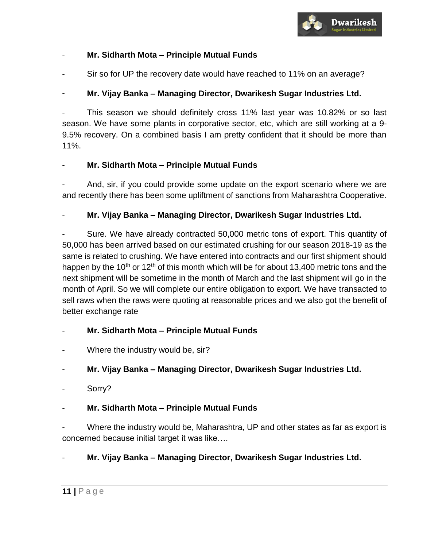

## - **Mr. Sidharth Mota – Principle Mutual Funds**

Sir so for UP the recovery date would have reached to 11% on an average?

## - **Mr. Vijay Banka – Managing Director, Dwarikesh Sugar Industries Ltd.**

- This season we should definitely cross 11% last year was 10.82% or so last season. We have some plants in corporative sector, etc, which are still working at a 9- 9.5% recovery. On a combined basis I am pretty confident that it should be more than 11%.

#### - **Mr. Sidharth Mota – Principle Mutual Funds**

And, sir, if you could provide some update on the export scenario where we are and recently there has been some upliftment of sanctions from Maharashtra Cooperative.

#### - **Mr. Vijay Banka – Managing Director, Dwarikesh Sugar Industries Ltd.**

Sure. We have already contracted 50,000 metric tons of export. This quantity of 50,000 has been arrived based on our estimated crushing for our season 2018-19 as the same is related to crushing. We have entered into contracts and our first shipment should happen by the 10<sup>th</sup> or 12<sup>th</sup> of this month which will be for about 13,400 metric tons and the next shipment will be sometime in the month of March and the last shipment will go in the month of April. So we will complete our entire obligation to export. We have transacted to sell raws when the raws were quoting at reasonable prices and we also got the benefit of better exchange rate

## - **Mr. Sidharth Mota – Principle Mutual Funds**

Where the industry would be, sir?

## - **Mr. Vijay Banka – Managing Director, Dwarikesh Sugar Industries Ltd.**

#### Sorry?

## - **Mr. Sidharth Mota – Principle Mutual Funds**

Where the industry would be, Maharashtra, UP and other states as far as export is concerned because initial target it was like….

## - **Mr. Vijay Banka – Managing Director, Dwarikesh Sugar Industries Ltd.**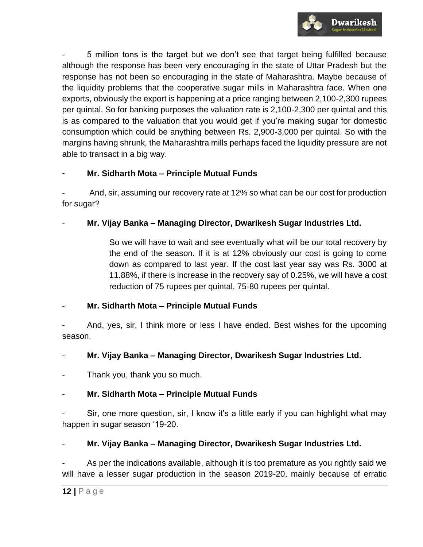

5 million tons is the target but we don't see that target being fulfilled because although the response has been very encouraging in the state of Uttar Pradesh but the response has not been so encouraging in the state of Maharashtra. Maybe because of the liquidity problems that the cooperative sugar mills in Maharashtra face. When one exports, obviously the export is happening at a price ranging between 2,100-2,300 rupees per quintal. So for banking purposes the valuation rate is 2,100-2,300 per quintal and this is as compared to the valuation that you would get if you're making sugar for domestic consumption which could be anything between Rs. 2,900-3,000 per quintal. So with the margins having shrunk, the Maharashtra mills perhaps faced the liquidity pressure are not able to transact in a big way.

## - **Mr. Sidharth Mota – Principle Mutual Funds**

And, sir, assuming our recovery rate at 12% so what can be our cost for production for sugar?

## - **Mr. Vijay Banka – Managing Director, Dwarikesh Sugar Industries Ltd.**

So we will have to wait and see eventually what will be our total recovery by the end of the season. If it is at 12% obviously our cost is going to come down as compared to last year. If the cost last year say was Rs. 3000 at 11.88%, if there is increase in the recovery say of 0.25%, we will have a cost reduction of 75 rupees per quintal, 75-80 rupees per quintal.

## - **Mr. Sidharth Mota – Principle Mutual Funds**

And, yes, sir, I think more or less I have ended. Best wishes for the upcoming season.

## - **Mr. Vijay Banka – Managing Director, Dwarikesh Sugar Industries Ltd.**

Thank you, thank you so much.

## - **Mr. Sidharth Mota – Principle Mutual Funds**

Sir, one more question, sir, I know it's a little early if you can highlight what may happen in sugar season '19-20.

## - **Mr. Vijay Banka – Managing Director, Dwarikesh Sugar Industries Ltd.**

As per the indications available, although it is too premature as you rightly said we will have a lesser sugar production in the season 2019-20, mainly because of erratic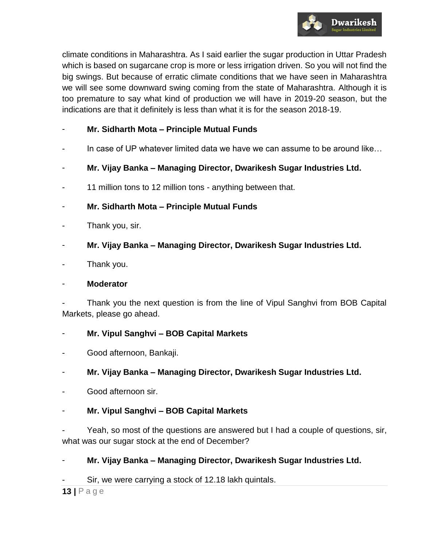

climate conditions in Maharashtra. As I said earlier the sugar production in Uttar Pradesh which is based on sugarcane crop is more or less irrigation driven. So you will not find the big swings. But because of erratic climate conditions that we have seen in Maharashtra we will see some downward swing coming from the state of Maharashtra. Although it is too premature to say what kind of production we will have in 2019-20 season, but the indications are that it definitely is less than what it is for the season 2018-19.

- **Mr. Sidharth Mota – Principle Mutual Funds**
- In case of UP whatever limited data we have we can assume to be around like...
- **Mr. Vijay Banka – Managing Director, Dwarikesh Sugar Industries Ltd.**
- 11 million tons to 12 million tons anything between that.
- **Mr. Sidharth Mota – Principle Mutual Funds**
- Thank you, sir.
- **Mr. Vijay Banka – Managing Director, Dwarikesh Sugar Industries Ltd.**
- Thank you.

#### - **Moderator**

Thank you the next question is from the line of Vipul Sanghvi from BOB Capital Markets, please go ahead.

- **Mr. Vipul Sanghvi – BOB Capital Markets**
- Good afternoon, Bankaji.
- **Mr. Vijay Banka – Managing Director, Dwarikesh Sugar Industries Ltd.**
- Good afternoon sir.
- **Mr. Vipul Sanghvi – BOB Capital Markets**
- Yeah, so most of the questions are answered but I had a couple of questions, sir, what was our sugar stock at the end of December?

#### - **Mr. Vijay Banka – Managing Director, Dwarikesh Sugar Industries Ltd.**

Sir, we were carrying a stock of 12.18 lakh quintals.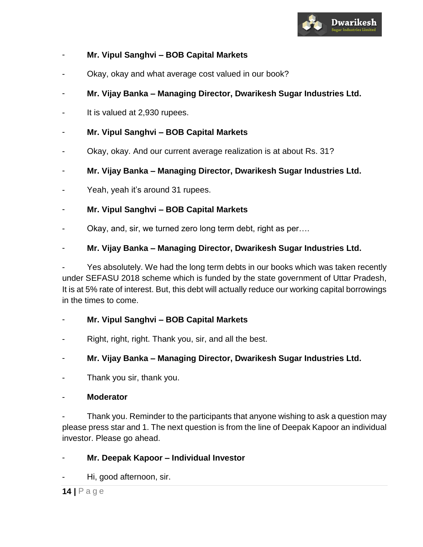

## - **Mr. Vipul Sanghvi – BOB Capital Markets**

- Okay, okay and what average cost valued in our book?
- **Mr. Vijay Banka – Managing Director, Dwarikesh Sugar Industries Ltd.**
- It is valued at 2,930 rupees.
- **Mr. Vipul Sanghvi – BOB Capital Markets**
- Okay, okay. And our current average realization is at about Rs. 31?
- **Mr. Vijay Banka – Managing Director, Dwarikesh Sugar Industries Ltd.**
- Yeah, yeah it's around 31 rupees.
- **Mr. Vipul Sanghvi – BOB Capital Markets**
- Okay, and, sir, we turned zero long term debt, right as per....

#### - **Mr. Vijay Banka – Managing Director, Dwarikesh Sugar Industries Ltd.**

Yes absolutely. We had the long term debts in our books which was taken recently under SEFASU 2018 scheme which is funded by the state government of Uttar Pradesh, It is at 5% rate of interest. But, this debt will actually reduce our working capital borrowings in the times to come.

#### - **Mr. Vipul Sanghvi – BOB Capital Markets**

Right, right, right. Thank you, sir, and all the best.

#### - **Mr. Vijay Banka – Managing Director, Dwarikesh Sugar Industries Ltd.**

Thank you sir, thank you.

#### - **Moderator**

Thank you. Reminder to the participants that anyone wishing to ask a question may please press star and 1. The next question is from the line of Deepak Kapoor an individual investor. Please go ahead.

#### - **Mr. Deepak Kapoor – Individual Investor**

Hi, good afternoon, sir.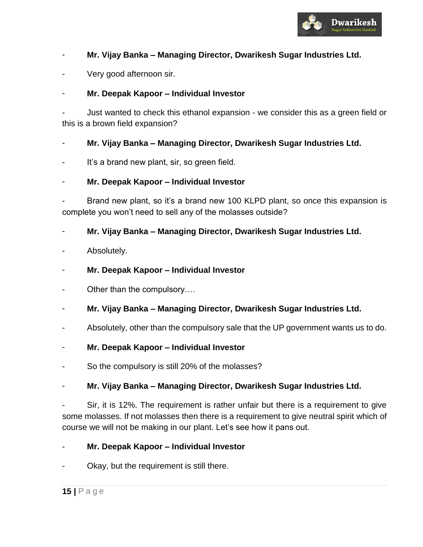

## - **Mr. Vijay Banka – Managing Director, Dwarikesh Sugar Industries Ltd.**

Very good afternoon sir.

## - **Mr. Deepak Kapoor – Individual Investor**

Just wanted to check this ethanol expansion - we consider this as a green field or this is a brown field expansion?

## - **Mr. Vijay Banka – Managing Director, Dwarikesh Sugar Industries Ltd.**

It's a brand new plant, sir, so green field.

## - **Mr. Deepak Kapoor – Individual Investor**

Brand new plant, so it's a brand new 100 KLPD plant, so once this expansion is complete you won't need to sell any of the molasses outside?

## - **Mr. Vijay Banka – Managing Director, Dwarikesh Sugar Industries Ltd.**

Absolutely.

## - **Mr. Deepak Kapoor – Individual Investor**

- Other than the compulsory….
- **Mr. Vijay Banka – Managing Director, Dwarikesh Sugar Industries Ltd.**
- Absolutely, other than the compulsory sale that the UP government wants us to do.
- **Mr. Deepak Kapoor – Individual Investor**
- So the compulsory is still 20% of the molasses?

## - **Mr. Vijay Banka – Managing Director, Dwarikesh Sugar Industries Ltd.**

Sir, it is 12%. The requirement is rather unfair but there is a requirement to give some molasses. If not molasses then there is a requirement to give neutral spirit which of course we will not be making in our plant. Let's see how it pans out.

- **Mr. Deepak Kapoor – Individual Investor**
- Okay, but the requirement is still there.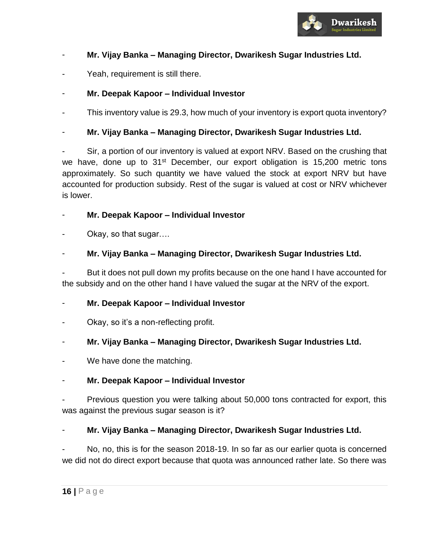

## - **Mr. Vijay Banka – Managing Director, Dwarikesh Sugar Industries Ltd.**

Yeah, requirement is still there.

## - **Mr. Deepak Kapoor – Individual Investor**

This inventory value is 29.3, how much of your inventory is export quota inventory?

## - **Mr. Vijay Banka – Managing Director, Dwarikesh Sugar Industries Ltd.**

Sir, a portion of our inventory is valued at export NRV. Based on the crushing that we have, done up to  $31<sup>st</sup>$  December, our export obligation is 15,200 metric tons approximately. So such quantity we have valued the stock at export NRV but have accounted for production subsidy. Rest of the sugar is valued at cost or NRV whichever is lower.

#### - **Mr. Deepak Kapoor – Individual Investor**

Okay, so that sugar....

## - **Mr. Vijay Banka – Managing Director, Dwarikesh Sugar Industries Ltd.**

But it does not pull down my profits because on the one hand I have accounted for the subsidy and on the other hand I have valued the sugar at the NRV of the export.

## - **Mr. Deepak Kapoor – Individual Investor**

Okay, so it's a non-reflecting profit.

## - **Mr. Vijay Banka – Managing Director, Dwarikesh Sugar Industries Ltd.**

We have done the matching.

## - **Mr. Deepak Kapoor – Individual Investor**

Previous question you were talking about 50,000 tons contracted for export, this was against the previous sugar season is it?

## - **Mr. Vijay Banka – Managing Director, Dwarikesh Sugar Industries Ltd.**

No, no, this is for the season 2018-19. In so far as our earlier quota is concerned we did not do direct export because that quota was announced rather late. So there was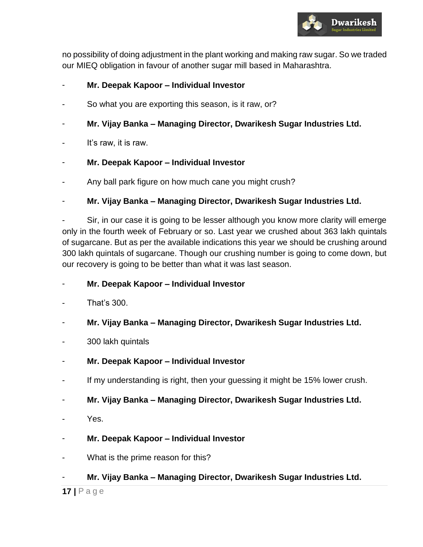

no possibility of doing adjustment in the plant working and making raw sugar. So we traded our MIEQ obligation in favour of another sugar mill based in Maharashtra.

## - **Mr. Deepak Kapoor – Individual Investor**

- So what you are exporting this season, is it raw, or?
- **Mr. Vijay Banka – Managing Director, Dwarikesh Sugar Industries Ltd.**
- It's raw, it is raw.
- **Mr. Deepak Kapoor – Individual Investor**
- Any ball park figure on how much cane you might crush?

## - **Mr. Vijay Banka – Managing Director, Dwarikesh Sugar Industries Ltd.**

Sir, in our case it is going to be lesser although you know more clarity will emerge only in the fourth week of February or so. Last year we crushed about 363 lakh quintals of sugarcane. But as per the available indications this year we should be crushing around 300 lakh quintals of sugarcane. Though our crushing number is going to come down, but our recovery is going to be better than what it was last season.

- **Mr. Deepak Kapoor – Individual Investor**
- That's 300.
- **Mr. Vijay Banka – Managing Director, Dwarikesh Sugar Industries Ltd.**
- 300 lakh quintals
- **Mr. Deepak Kapoor – Individual Investor**
- If my understanding is right, then your guessing it might be 15% lower crush.
- **Mr. Vijay Banka – Managing Director, Dwarikesh Sugar Industries Ltd.**
- Yes.
- **Mr. Deepak Kapoor – Individual Investor**
- What is the prime reason for this?
- **Mr. Vijay Banka – Managing Director, Dwarikesh Sugar Industries Ltd.**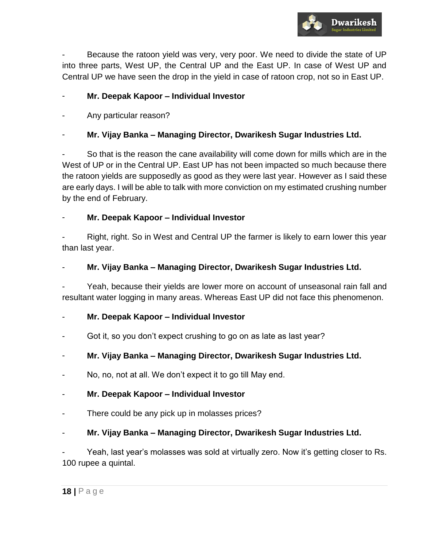

Because the ratoon yield was very, very poor. We need to divide the state of UP into three parts, West UP, the Central UP and the East UP. In case of West UP and Central UP we have seen the drop in the yield in case of ratoon crop, not so in East UP.

## - **Mr. Deepak Kapoor – Individual Investor**

Any particular reason?

## - **Mr. Vijay Banka – Managing Director, Dwarikesh Sugar Industries Ltd.**

So that is the reason the cane availability will come down for mills which are in the West of UP or in the Central UP. East UP has not been impacted so much because there the ratoon yields are supposedly as good as they were last year. However as I said these are early days. I will be able to talk with more conviction on my estimated crushing number by the end of February.

## - **Mr. Deepak Kapoor – Individual Investor**

Right, right. So in West and Central UP the farmer is likely to earn lower this year than last year.

## - **Mr. Vijay Banka – Managing Director, Dwarikesh Sugar Industries Ltd.**

Yeah, because their yields are lower more on account of unseasonal rain fall and resultant water logging in many areas. Whereas East UP did not face this phenomenon.

## - **Mr. Deepak Kapoor – Individual Investor**

Got it, so you don't expect crushing to go on as late as last year?

## - **Mr. Vijay Banka – Managing Director, Dwarikesh Sugar Industries Ltd.**

No, no, not at all. We don't expect it to go till May end.

## - **Mr. Deepak Kapoor – Individual Investor**

There could be any pick up in molasses prices?

## - **Mr. Vijay Banka – Managing Director, Dwarikesh Sugar Industries Ltd.**

Yeah, last year's molasses was sold at virtually zero. Now it's getting closer to Rs. 100 rupee a quintal.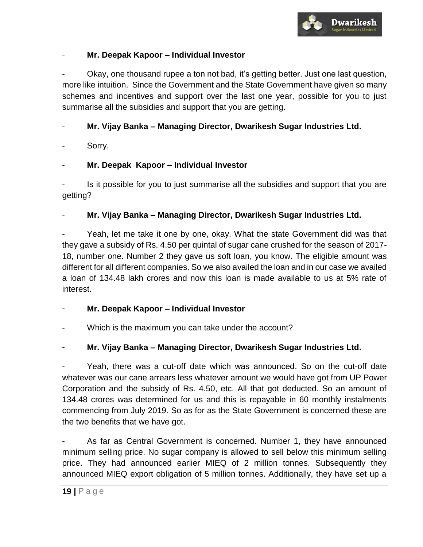

## - **Mr. Deepak Kapoor – Individual Investor**

- Okay, one thousand rupee a ton not bad, it's getting better. Just one last question, more like intuition. Since the Government and the State Government have given so many schemes and incentives and support over the last one year, possible for you to just summarise all the subsidies and support that you are getting.

## - **Mr. Vijay Banka – Managing Director, Dwarikesh Sugar Industries Ltd.**

Sorry.

## - **Mr. Deepak Kapoor – Individual Investor**

Is it possible for you to just summarise all the subsidies and support that you are getting?

## - **Mr. Vijay Banka – Managing Director, Dwarikesh Sugar Industries Ltd.**

Yeah, let me take it one by one, okay. What the state Government did was that they gave a subsidy of Rs. 4.50 per quintal of sugar cane crushed for the season of 2017- 18, number one. Number 2 they gave us soft loan, you know. The eligible amount was different for all different companies. So we also availed the loan and in our case we availed a loan of 134.48 lakh crores and now this loan is made available to us at 5% rate of interest.

- **Mr. Deepak Kapoor – Individual Investor**
- Which is the maximum you can take under the account?

## - **Mr. Vijay Banka – Managing Director, Dwarikesh Sugar Industries Ltd.**

Yeah, there was a cut-off date which was announced. So on the cut-off date whatever was our cane arrears less whatever amount we would have got from UP Power Corporation and the subsidy of Rs. 4.50, etc. All that got deducted. So an amount of 134.48 crores was determined for us and this is repayable in 60 monthly instalments commencing from July 2019. So as for as the State Government is concerned these are the two benefits that we have got.

As far as Central Government is concerned. Number 1, they have announced minimum selling price. No sugar company is allowed to sell below this minimum selling price. They had announced earlier MIEQ of 2 million tonnes. Subsequently they announced MIEQ export obligation of 5 million tonnes. Additionally, they have set up a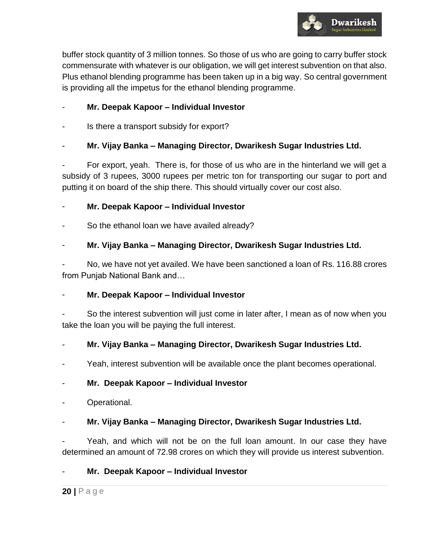

buffer stock quantity of 3 million tonnes. So those of us who are going to carry buffer stock commensurate with whatever is our obligation, we will get interest subvention on that also. Plus ethanol blending programme has been taken up in a big way. So central government is providing all the impetus for the ethanol blending programme.

## - **Mr. Deepak Kapoor – Individual Investor**

Is there a transport subsidy for export?

## - **Mr. Vijay Banka – Managing Director, Dwarikesh Sugar Industries Ltd.**

For export, yeah. There is, for those of us who are in the hinterland we will get a subsidy of 3 rupees, 3000 rupees per metric ton for transporting our sugar to port and putting it on board of the ship there. This should virtually cover our cost also.

## - **Mr. Deepak Kapoor – Individual Investor**

So the ethanol loan we have availed already?

## - **Mr. Vijay Banka – Managing Director, Dwarikesh Sugar Industries Ltd.**

No, we have not yet availed. We have been sanctioned a loan of Rs. 116.88 crores from Punjab National Bank and…

## - **Mr. Deepak Kapoor – Individual Investor**

So the interest subvention will just come in later after, I mean as of now when you take the loan you will be paying the full interest.

## - **Mr. Vijay Banka – Managing Director, Dwarikesh Sugar Industries Ltd.**

Yeah, interest subvention will be available once the plant becomes operational.

## - **Mr. Deepak Kapoor – Individual Investor**

Operational.

## - **Mr. Vijay Banka – Managing Director, Dwarikesh Sugar Industries Ltd.**

Yeah, and which will not be on the full loan amount. In our case they have determined an amount of 72.98 crores on which they will provide us interest subvention.

## - **Mr. Deepak Kapoor – Individual Investor**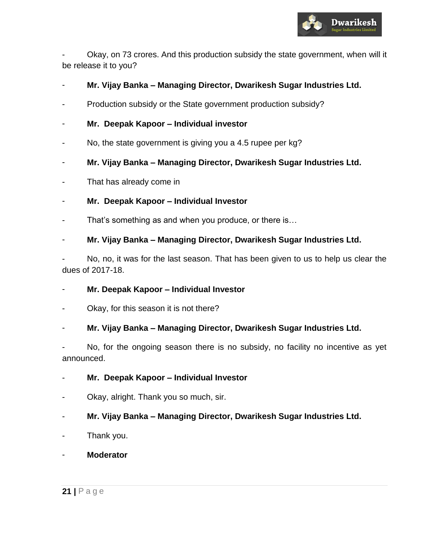

- Okay, on 73 crores. And this production subsidy the state government, when will it be release it to you?

- **Mr. Vijay Banka – Managing Director, Dwarikesh Sugar Industries Ltd.**
- Production subsidy or the State government production subsidy?
- **Mr. Deepak Kapoor – Individual investor**
- No, the state government is giving you a 4.5 rupee per kg?
- **Mr. Vijay Banka – Managing Director, Dwarikesh Sugar Industries Ltd.**
- That has already come in
- **Mr. Deepak Kapoor – Individual Investor**
- That's something as and when you produce, or there is...
- **Mr. Vijay Banka – Managing Director, Dwarikesh Sugar Industries Ltd.**

No, no, it was for the last season. That has been given to us to help us clear the dues of 2017-18.

- **Mr. Deepak Kapoor – Individual Investor**
- Okay, for this season it is not there?
- **Mr. Vijay Banka – Managing Director, Dwarikesh Sugar Industries Ltd.**

No, for the ongoing season there is no subsidy, no facility no incentive as yet announced.

- **Mr. Deepak Kapoor – Individual Investor**
- Okay, alright. Thank you so much, sir.
- **Mr. Vijay Banka – Managing Director, Dwarikesh Sugar Industries Ltd.**
- Thank you.
- **Moderator**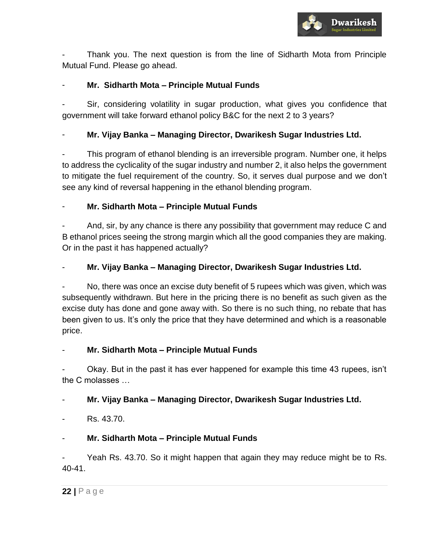

- Thank you. The next question is from the line of Sidharth Mota from Principle Mutual Fund. Please go ahead.

## - **Mr. Sidharth Mota – Principle Mutual Funds**

Sir, considering volatility in sugar production, what gives you confidence that government will take forward ethanol policy B&C for the next 2 to 3 years?

## - **Mr. Vijay Banka – Managing Director, Dwarikesh Sugar Industries Ltd.**

This program of ethanol blending is an irreversible program. Number one, it helps to address the cyclicality of the sugar industry and number 2, it also helps the government to mitigate the fuel requirement of the country. So, it serves dual purpose and we don't see any kind of reversal happening in the ethanol blending program.

## - **Mr. Sidharth Mota – Principle Mutual Funds**

And, sir, by any chance is there any possibility that government may reduce C and B ethanol prices seeing the strong margin which all the good companies they are making. Or in the past it has happened actually?

## - **Mr. Vijay Banka – Managing Director, Dwarikesh Sugar Industries Ltd.**

No, there was once an excise duty benefit of 5 rupees which was given, which was subsequently withdrawn. But here in the pricing there is no benefit as such given as the excise duty has done and gone away with. So there is no such thing, no rebate that has been given to us. It's only the price that they have determined and which is a reasonable price.

## - **Mr. Sidharth Mota – Principle Mutual Funds**

Okay. But in the past it has ever happened for example this time 43 rupees, isn't the C molasses …

## - **Mr. Vijay Banka – Managing Director, Dwarikesh Sugar Industries Ltd.**

Rs. 43.70.

## - **Mr. Sidharth Mota – Principle Mutual Funds**

Yeah Rs. 43.70. So it might happen that again they may reduce might be to Rs. 40-41.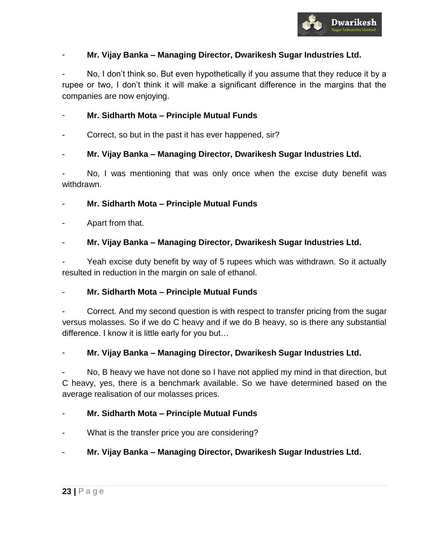

## - **Mr. Vijay Banka – Managing Director, Dwarikesh Sugar Industries Ltd.**

No, I don't think so. But even hypothetically if you assume that they reduce it by a rupee or two, I don't think it will make a significant difference in the margins that the companies are now enjoying.

## - **Mr. Sidharth Mota – Principle Mutual Funds**

Correct, so but in the past it has ever happened, sir?

## - **Mr. Vijay Banka – Managing Director, Dwarikesh Sugar Industries Ltd.**

No, I was mentioning that was only once when the excise duty benefit was withdrawn.

#### - **Mr. Sidharth Mota – Principle Mutual Funds**

Apart from that.

## - **Mr. Vijay Banka – Managing Director, Dwarikesh Sugar Industries Ltd.**

Yeah excise duty benefit by way of 5 rupees which was withdrawn. So it actually resulted in reduction in the margin on sale of ethanol.

## - **Mr. Sidharth Mota – Principle Mutual Funds**

Correct. And my second question is with respect to transfer pricing from the sugar versus molasses. So if we do C heavy and if we do B heavy, so is there any substantial difference. I know it is little early for you but…

## - **Mr. Vijay Banka – Managing Director, Dwarikesh Sugar Industries Ltd.**

No, B heavy we have not done so I have not applied my mind in that direction, but C heavy, yes, there is a benchmark available. So we have determined based on the average realisation of our molasses prices.

#### - **Mr. Sidharth Mota – Principle Mutual Funds**

What is the transfer price you are considering?

## - **Mr. Vijay Banka – Managing Director, Dwarikesh Sugar Industries Ltd.**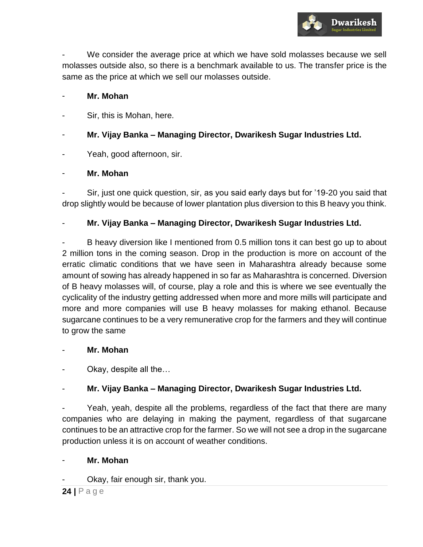

We consider the average price at which we have sold molasses because we sell molasses outside also, so there is a benchmark available to us. The transfer price is the same as the price at which we sell our molasses outside.

#### Mr. Mohan

- Sir, this is Mohan, here.
- **Mr. Vijay Banka – Managing Director, Dwarikesh Sugar Industries Ltd.**
- Yeah, good afternoon, sir.

## - **Mr. Mohan**

Sir, just one quick question, sir, as you said early days but for '19-20 you said that drop slightly would be because of lower plantation plus diversion to this B heavy you think.

## - **Mr. Vijay Banka – Managing Director, Dwarikesh Sugar Industries Ltd.**

B heavy diversion like I mentioned from 0.5 million tons it can best go up to about 2 million tons in the coming season. Drop in the production is more on account of the erratic climatic conditions that we have seen in Maharashtra already because some amount of sowing has already happened in so far as Maharashtra is concerned. Diversion of B heavy molasses will, of course, play a role and this is where we see eventually the cyclicality of the industry getting addressed when more and more mills will participate and more and more companies will use B heavy molasses for making ethanol. Because sugarcane continues to be a very remunerative crop for the farmers and they will continue to grow the same

## - **Mr. Mohan**

Okay, despite all the...

## - **Mr. Vijay Banka – Managing Director, Dwarikesh Sugar Industries Ltd.**

Yeah, yeah, despite all the problems, regardless of the fact that there are many companies who are delaying in making the payment, regardless of that sugarcane continues to be an attractive crop for the farmer. So we will not see a drop in the sugarcane production unless it is on account of weather conditions.

## - **Mr. Mohan**

Okay, fair enough sir, thank you.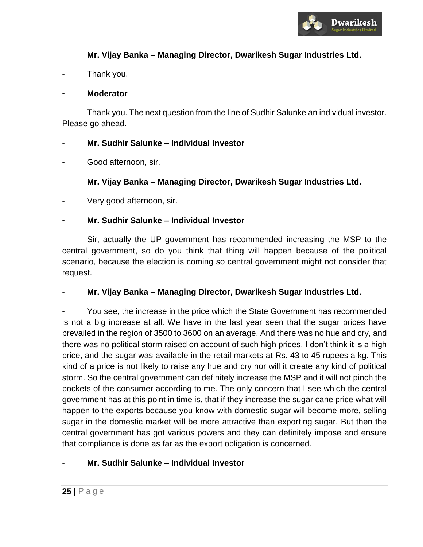

## - **Mr. Vijay Banka – Managing Director, Dwarikesh Sugar Industries Ltd.**

Thank you.

## - **Moderator**

Thank you. The next question from the line of Sudhir Salunke an individual investor. Please go ahead.

## - **Mr. Sudhir Salunke – Individual Investor**

- Good afternoon, sir.
- **Mr. Vijay Banka – Managing Director, Dwarikesh Sugar Industries Ltd.**
- Very good afternoon, sir.

## - **Mr. Sudhir Salunke – Individual Investor**

Sir, actually the UP government has recommended increasing the MSP to the central government, so do you think that thing will happen because of the political scenario, because the election is coming so central government might not consider that request.

## - **Mr. Vijay Banka – Managing Director, Dwarikesh Sugar Industries Ltd.**

You see, the increase in the price which the State Government has recommended is not a big increase at all. We have in the last year seen that the sugar prices have prevailed in the region of 3500 to 3600 on an average. And there was no hue and cry, and there was no political storm raised on account of such high prices. I don't think it is a high price, and the sugar was available in the retail markets at Rs. 43 to 45 rupees a kg. This kind of a price is not likely to raise any hue and cry nor will it create any kind of political storm. So the central government can definitely increase the MSP and it will not pinch the pockets of the consumer according to me. The only concern that I see which the central government has at this point in time is, that if they increase the sugar cane price what will happen to the exports because you know with domestic sugar will become more, selling sugar in the domestic market will be more attractive than exporting sugar. But then the central government has got various powers and they can definitely impose and ensure that compliance is done as far as the export obligation is concerned.

## - **Mr. Sudhir Salunke – Individual Investor**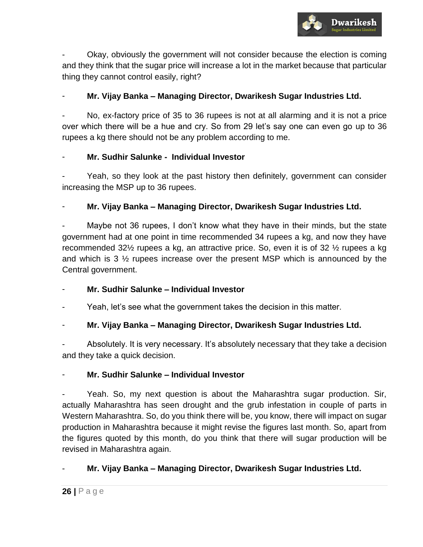

- Okay, obviously the government will not consider because the election is coming and they think that the sugar price will increase a lot in the market because that particular thing they cannot control easily, right?

## - **Mr. Vijay Banka – Managing Director, Dwarikesh Sugar Industries Ltd.**

No, ex-factory price of 35 to 36 rupees is not at all alarming and it is not a price over which there will be a hue and cry. So from 29 let's say one can even go up to 36 rupees a kg there should not be any problem according to me.

## - **Mr. Sudhir Salunke - Individual Investor**

Yeah, so they look at the past history then definitely, government can consider increasing the MSP up to 36 rupees.

## - **Mr. Vijay Banka – Managing Director, Dwarikesh Sugar Industries Ltd.**

Maybe not 36 rupees, I don't know what they have in their minds, but the state government had at one point in time recommended 34 rupees a kg, and now they have recommended 32½ rupees a kg, an attractive price. So, even it is of 32 ½ rupees a kg and which is 3 ½ rupees increase over the present MSP which is announced by the Central government.

## - **Mr. Sudhir Salunke – Individual Investor**

Yeah, let's see what the government takes the decision in this matter.

## - **Mr. Vijay Banka – Managing Director, Dwarikesh Sugar Industries Ltd.**

Absolutely. It is very necessary. It's absolutely necessary that they take a decision and they take a quick decision.

## - **Mr. Sudhir Salunke – Individual Investor**

Yeah. So, my next question is about the Maharashtra sugar production. Sir, actually Maharashtra has seen drought and the grub infestation in couple of parts in Western Maharashtra. So, do you think there will be, you know, there will impact on sugar production in Maharashtra because it might revise the figures last month. So, apart from the figures quoted by this month, do you think that there will sugar production will be revised in Maharashtra again.

## - **Mr. Vijay Banka – Managing Director, Dwarikesh Sugar Industries Ltd.**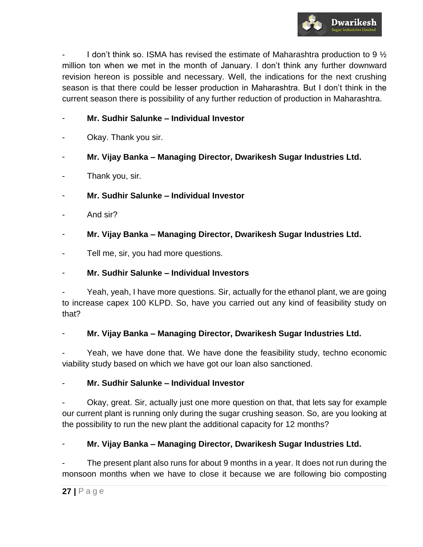

I don't think so. ISMA has revised the estimate of Maharashtra production to 9  $\frac{1}{2}$ million ton when we met in the month of January. I don't think any further downward revision hereon is possible and necessary. Well, the indications for the next crushing season is that there could be lesser production in Maharashtra. But I don't think in the current season there is possibility of any further reduction of production in Maharashtra.

## - **Mr. Sudhir Salunke – Individual Investor**

- Okay. Thank you sir.
- **Mr. Vijay Banka – Managing Director, Dwarikesh Sugar Industries Ltd.**
- Thank you, sir.
- **Mr. Sudhir Salunke – Individual Investor**
- And sir?
- **Mr. Vijay Banka – Managing Director, Dwarikesh Sugar Industries Ltd.**
- Tell me, sir, you had more questions.

## - **Mr. Sudhir Salunke – Individual Investors**

Yeah, yeah, I have more questions. Sir, actually for the ethanol plant, we are going to increase capex 100 KLPD. So, have you carried out any kind of feasibility study on that?

## - **Mr. Vijay Banka – Managing Director, Dwarikesh Sugar Industries Ltd.**

Yeah, we have done that. We have done the feasibility study, techno economic viability study based on which we have got our loan also sanctioned.

## - **Mr. Sudhir Salunke – Individual Investor**

Okay, great. Sir, actually just one more question on that, that lets say for example our current plant is running only during the sugar crushing season. So, are you looking at the possibility to run the new plant the additional capacity for 12 months?

- **Mr. Vijay Banka – Managing Director, Dwarikesh Sugar Industries Ltd.** 

The present plant also runs for about 9 months in a year. It does not run during the monsoon months when we have to close it because we are following bio composting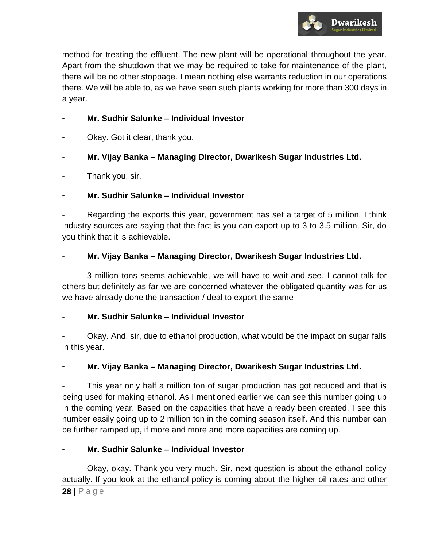

method for treating the effluent. The new plant will be operational throughout the year. Apart from the shutdown that we may be required to take for maintenance of the plant, there will be no other stoppage. I mean nothing else warrants reduction in our operations there. We will be able to, as we have seen such plants working for more than 300 days in a year.

## - **Mr. Sudhir Salunke – Individual Investor**

Okay. Got it clear, thank you.

## - **Mr. Vijay Banka – Managing Director, Dwarikesh Sugar Industries Ltd.**

Thank you, sir.

## - **Mr. Sudhir Salunke – Individual Investor**

Regarding the exports this year, government has set a target of 5 million. I think industry sources are saying that the fact is you can export up to 3 to 3.5 million. Sir, do you think that it is achievable.

## - **Mr. Vijay Banka – Managing Director, Dwarikesh Sugar Industries Ltd.**

- 3 million tons seems achievable, we will have to wait and see. I cannot talk for others but definitely as far we are concerned whatever the obligated quantity was for us we have already done the transaction / deal to export the same

## - **Mr. Sudhir Salunke – Individual Investor**

Okay. And, sir, due to ethanol production, what would be the impact on sugar falls in this year.

## - **Mr. Vijay Banka – Managing Director, Dwarikesh Sugar Industries Ltd.**

This year only half a million ton of sugar production has got reduced and that is being used for making ethanol. As I mentioned earlier we can see this number going up in the coming year. Based on the capacities that have already been created, I see this number easily going up to 2 million ton in the coming season itself. And this number can be further ramped up, if more and more and more capacities are coming up.

## - **Mr. Sudhir Salunke – Individual Investor**

Okay, okay. Thank you very much. Sir, next question is about the ethanol policy actually. If you look at the ethanol policy is coming about the higher oil rates and other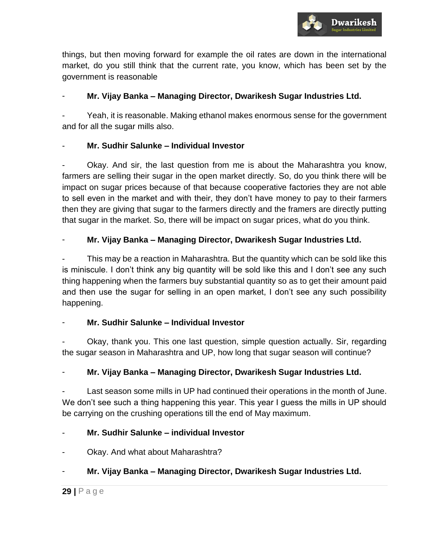

things, but then moving forward for example the oil rates are down in the international market, do you still think that the current rate, you know, which has been set by the government is reasonable

## - **Mr. Vijay Banka – Managing Director, Dwarikesh Sugar Industries Ltd.**

Yeah, it is reasonable. Making ethanol makes enormous sense for the government and for all the sugar mills also.

## - **Mr. Sudhir Salunke – Individual Investor**

- Okay. And sir, the last question from me is about the Maharashtra you know, farmers are selling their sugar in the open market directly. So, do you think there will be impact on sugar prices because of that because cooperative factories they are not able to sell even in the market and with their, they don't have money to pay to their farmers then they are giving that sugar to the farmers directly and the framers are directly putting that sugar in the market. So, there will be impact on sugar prices, what do you think.

## - **Mr. Vijay Banka – Managing Director, Dwarikesh Sugar Industries Ltd.**

This may be a reaction in Maharashtra. But the quantity which can be sold like this is miniscule. I don't think any big quantity will be sold like this and I don't see any such thing happening when the farmers buy substantial quantity so as to get their amount paid and then use the sugar for selling in an open market, I don't see any such possibility happening.

## - **Mr. Sudhir Salunke – Individual Investor**

Okay, thank you. This one last question, simple question actually. Sir, regarding the sugar season in Maharashtra and UP, how long that sugar season will continue?

## - **Mr. Vijay Banka – Managing Director, Dwarikesh Sugar Industries Ltd.**

Last season some mills in UP had continued their operations in the month of June. We don't see such a thing happening this year. This year I guess the mills in UP should be carrying on the crushing operations till the end of May maximum.

## - **Mr. Sudhir Salunke – individual Investor**

Okay. And what about Maharashtra?

## - **Mr. Vijay Banka – Managing Director, Dwarikesh Sugar Industries Ltd.**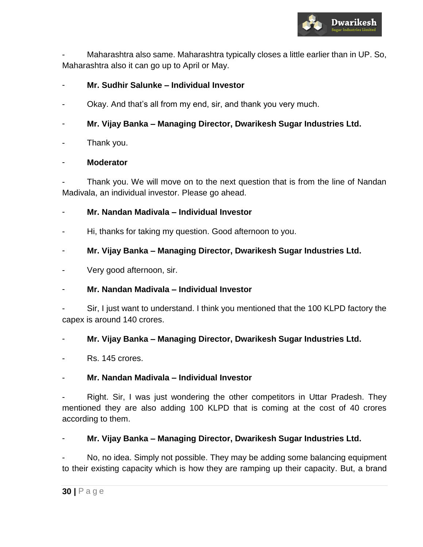

Maharashtra also same. Maharashtra typically closes a little earlier than in UP. So, Maharashtra also it can go up to April or May.

## - **Mr. Sudhir Salunke – Individual Investor**

- Okay. And that's all from my end, sir, and thank you very much.
- **Mr. Vijay Banka – Managing Director, Dwarikesh Sugar Industries Ltd.**
- Thank you.

## - **Moderator**

Thank you. We will move on to the next question that is from the line of Nandan Madivala, an individual investor. Please go ahead.

- **Mr. Nandan Madivala – Individual Investor**
- Hi, thanks for taking my question. Good afternoon to you.
- **Mr. Vijay Banka – Managing Director, Dwarikesh Sugar Industries Ltd.**
- Very good afternoon, sir.

## - **Mr. Nandan Madivala – Individual Investor**

Sir, I just want to understand. I think you mentioned that the 100 KLPD factory the capex is around 140 crores.

## - **Mr. Vijay Banka – Managing Director, Dwarikesh Sugar Industries Ltd.**

Rs. 145 crores.

## - **Mr. Nandan Madivala – Individual Investor**

Right. Sir, I was just wondering the other competitors in Uttar Pradesh. They mentioned they are also adding 100 KLPD that is coming at the cost of 40 crores according to them.

## - **Mr. Vijay Banka – Managing Director, Dwarikesh Sugar Industries Ltd.**

No, no idea. Simply not possible. They may be adding some balancing equipment to their existing capacity which is how they are ramping up their capacity. But, a brand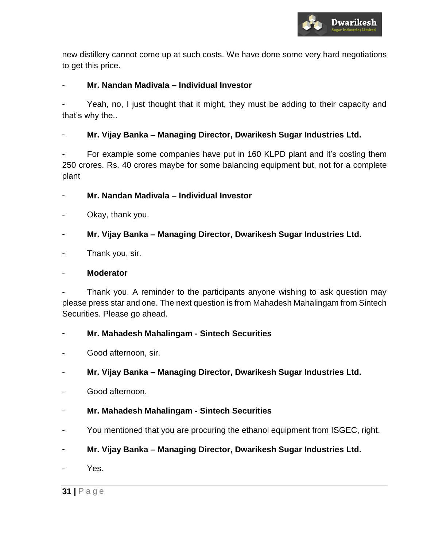

new distillery cannot come up at such costs. We have done some very hard negotiations to get this price.

## - **Mr. Nandan Madivala – Individual Investor**

Yeah, no, I just thought that it might, they must be adding to their capacity and that's why the..

- **Mr. Vijay Banka – Managing Director, Dwarikesh Sugar Industries Ltd.** 

For example some companies have put in 160 KLPD plant and it's costing them 250 crores. Rs. 40 crores maybe for some balancing equipment but, not for a complete plant

- **Mr. Nandan Madivala – Individual Investor**
- Okay, thank you.
- **Mr. Vijay Banka – Managing Director, Dwarikesh Sugar Industries Ltd.**
- Thank you, sir.

#### - **Moderator**

Thank you. A reminder to the participants anyone wishing to ask question may please press star and one. The next question is from Mahadesh Mahalingam from Sintech Securities. Please go ahead.

## - **Mr. Mahadesh Mahalingam - Sintech Securities**

- Good afternoon, sir.
- **Mr. Vijay Banka – Managing Director, Dwarikesh Sugar Industries Ltd.**
- Good afternoon.
- **Mr. Mahadesh Mahalingam - Sintech Securities**
- You mentioned that you are procuring the ethanol equipment from ISGEC, right.
- **Mr. Vijay Banka – Managing Director, Dwarikesh Sugar Industries Ltd.**
- Yes.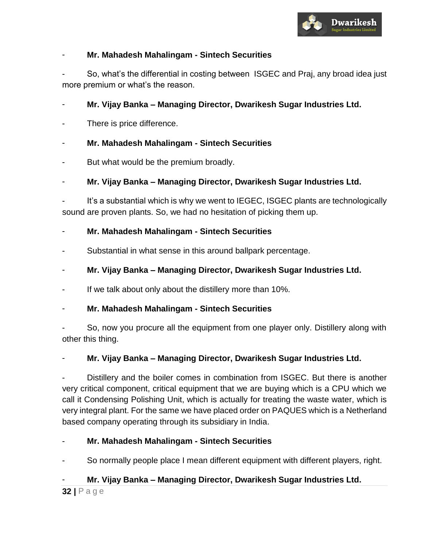

## - **Mr. Mahadesh Mahalingam - Sintech Securities**

So, what's the differential in costing between ISGEC and Praj, any broad idea just more premium or what's the reason.

## - **Mr. Vijay Banka – Managing Director, Dwarikesh Sugar Industries Ltd.**

There is price difference.

## - **Mr. Mahadesh Mahalingam - Sintech Securities**

- But what would be the premium broadly.
- **Mr. Vijay Banka – Managing Director, Dwarikesh Sugar Industries Ltd.**

It's a substantial which is why we went to IEGEC, ISGEC plants are technologically sound are proven plants. So, we had no hesitation of picking them up.

## - **Mr. Mahadesh Mahalingam - Sintech Securities**

- Substantial in what sense in this around ballpark percentage.
- **Mr. Vijay Banka – Managing Director, Dwarikesh Sugar Industries Ltd.**
- If we talk about only about the distillery more than 10%.

## - **Mr. Mahadesh Mahalingam - Sintech Securities**

So, now you procure all the equipment from one player only. Distillery along with other this thing.

## - **Mr. Vijay Banka – Managing Director, Dwarikesh Sugar Industries Ltd.**

Distillery and the boiler comes in combination from ISGEC. But there is another very critical component, critical equipment that we are buying which is a CPU which we call it Condensing Polishing Unit, which is actually for treating the waste water, which is very integral plant. For the same we have placed order on PAQUES which is a Netherland based company operating through its subsidiary in India.

## - **Mr. Mahadesh Mahalingam - Sintech Securities**

So normally people place I mean different equipment with different players, right.

## - **Mr. Vijay Banka – Managing Director, Dwarikesh Sugar Industries Ltd.**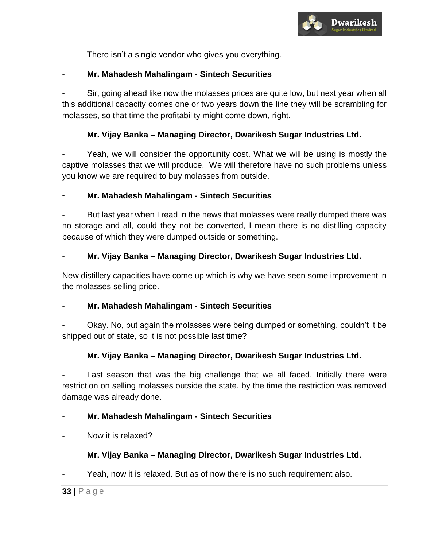

There isn't a single vendor who gives you everything.

## - **Mr. Mahadesh Mahalingam - Sintech Securities**

Sir, going ahead like now the molasses prices are quite low, but next year when all this additional capacity comes one or two years down the line they will be scrambling for molasses, so that time the profitability might come down, right.

## - **Mr. Vijay Banka – Managing Director, Dwarikesh Sugar Industries Ltd.**

Yeah, we will consider the opportunity cost. What we will be using is mostly the captive molasses that we will produce. We will therefore have no such problems unless you know we are required to buy molasses from outside.

## - **Mr. Mahadesh Mahalingam - Sintech Securities**

But last year when I read in the news that molasses were really dumped there was no storage and all, could they not be converted, I mean there is no distilling capacity because of which they were dumped outside or something.

## - **Mr. Vijay Banka – Managing Director, Dwarikesh Sugar Industries Ltd.**

New distillery capacities have come up which is why we have seen some improvement in the molasses selling price.

## - **Mr. Mahadesh Mahalingam - Sintech Securities**

Okay. No, but again the molasses were being dumped or something, couldn't it be shipped out of state, so it is not possible last time?

## - **Mr. Vijay Banka – Managing Director, Dwarikesh Sugar Industries Ltd.**

Last season that was the big challenge that we all faced. Initially there were restriction on selling molasses outside the state, by the time the restriction was removed damage was already done.

## - **Mr. Mahadesh Mahalingam - Sintech Securities**

- Now it is relaxed?
- **Mr. Vijay Banka – Managing Director, Dwarikesh Sugar Industries Ltd.**

Yeah, now it is relaxed. But as of now there is no such requirement also.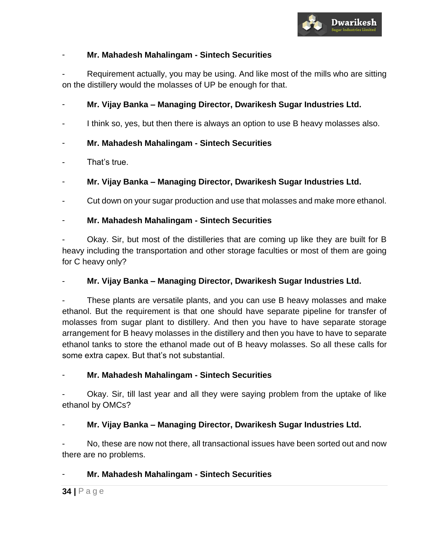

## - **Mr. Mahadesh Mahalingam - Sintech Securities**

Requirement actually, you may be using. And like most of the mills who are sitting on the distillery would the molasses of UP be enough for that.

- **Mr. Vijay Banka – Managing Director, Dwarikesh Sugar Industries Ltd.** 

- I think so, yes, but then there is always an option to use B heavy molasses also.
- **Mr. Mahadesh Mahalingam - Sintech Securities**
- That's true.
- **Mr. Vijay Banka – Managing Director, Dwarikesh Sugar Industries Ltd.**

Cut down on your sugar production and use that molasses and make more ethanol.

## - **Mr. Mahadesh Mahalingam - Sintech Securities**

Okay. Sir, but most of the distilleries that are coming up like they are built for B heavy including the transportation and other storage faculties or most of them are going for C heavy only?

## - **Mr. Vijay Banka – Managing Director, Dwarikesh Sugar Industries Ltd.**

- These plants are versatile plants, and you can use B heavy molasses and make ethanol. But the requirement is that one should have separate pipeline for transfer of molasses from sugar plant to distillery. And then you have to have separate storage arrangement for B heavy molasses in the distillery and then you have to have to separate ethanol tanks to store the ethanol made out of B heavy molasses. So all these calls for some extra capex. But that's not substantial.

- **Mr. Mahadesh Mahalingam - Sintech Securities** 

Okay. Sir, till last year and all they were saying problem from the uptake of like ethanol by OMCs?

## - **Mr. Vijay Banka – Managing Director, Dwarikesh Sugar Industries Ltd.**

No, these are now not there, all transactional issues have been sorted out and now there are no problems.

## - **Mr. Mahadesh Mahalingam - Sintech Securities**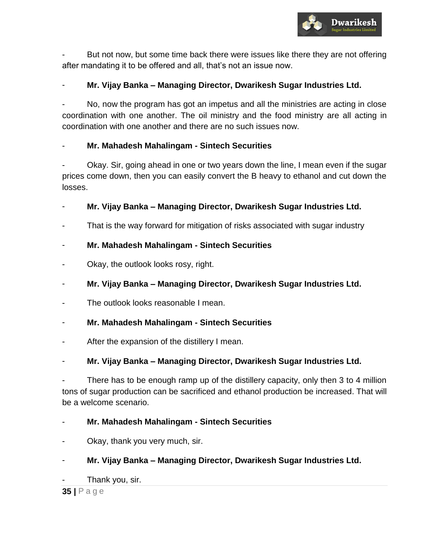

But not now, but some time back there were issues like there they are not offering after mandating it to be offered and all, that's not an issue now.

## - **Mr. Vijay Banka – Managing Director, Dwarikesh Sugar Industries Ltd.**

No, now the program has got an impetus and all the ministries are acting in close coordination with one another. The oil ministry and the food ministry are all acting in coordination with one another and there are no such issues now.

## - **Mr. Mahadesh Mahalingam - Sintech Securities**

- Okay. Sir, going ahead in one or two years down the line, I mean even if the sugar prices come down, then you can easily convert the B heavy to ethanol and cut down the losses.

## - **Mr. Vijay Banka – Managing Director, Dwarikesh Sugar Industries Ltd.**

That is the way forward for mitigation of risks associated with sugar industry

## - **Mr. Mahadesh Mahalingam - Sintech Securities**

- Okay, the outlook looks rosy, right.
- **Mr. Vijay Banka – Managing Director, Dwarikesh Sugar Industries Ltd.**
- The outlook looks reasonable I mean.
- **Mr. Mahadesh Mahalingam - Sintech Securities**
- After the expansion of the distillery I mean.

## - **Mr. Vijay Banka – Managing Director, Dwarikesh Sugar Industries Ltd.**

There has to be enough ramp up of the distillery capacity, only then 3 to 4 million tons of sugar production can be sacrificed and ethanol production be increased. That will be a welcome scenario.

## - **Mr. Mahadesh Mahalingam - Sintech Securities**

Okay, thank you very much, sir.

## - **Mr. Vijay Banka – Managing Director, Dwarikesh Sugar Industries Ltd.**

Thank you, sir.